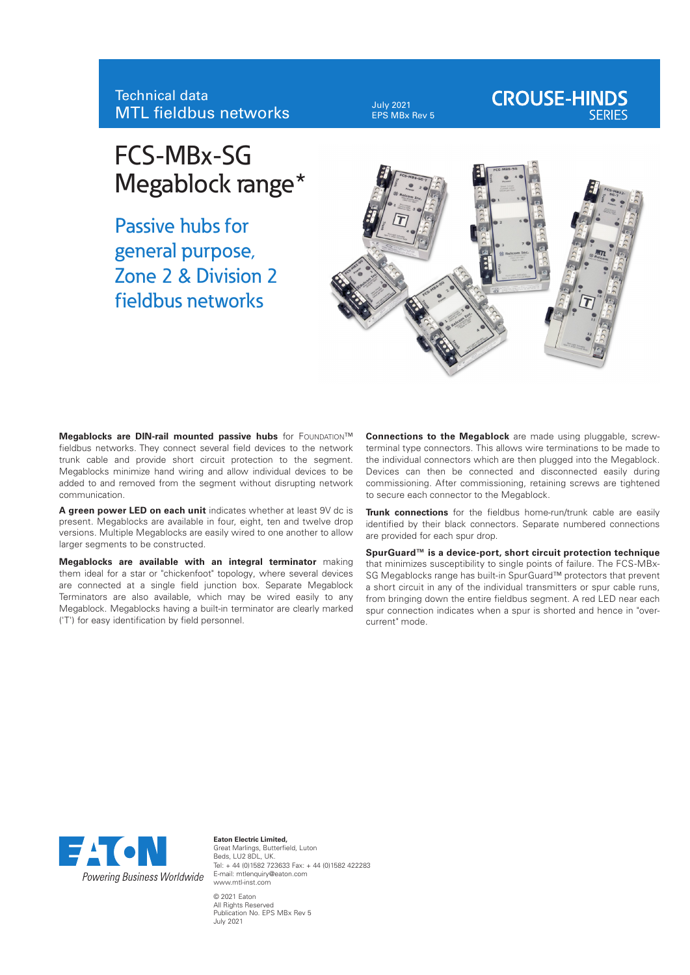July 2021 EPS MBx Rev 5

# **CROUSE-HINDS**

## FCS-MBx-SG Megablock range\*

Passive hubs for general purpose, Zone 2 & Division 2 fieldbus networks



**Megablocks are DIN-rail mounted passive hubs** for FOUNDATION™ fieldbus networks. They connect several field devices to the network trunk cable and provide short circuit protection to the segment. Megablocks minimize hand wiring and allow individual devices to be added to and removed from the segment without disrupting network communication.

**A green power LED on each unit** indicates whether at least 9V dc is present. Megablocks are available in four, eight, ten and twelve drop versions. Multiple Megablocks are easily wired to one another to allow larger segments to be constructed.

**Megablocks are available with an integral terminator** making them ideal for a star or "chickenfoot" topology, where several devices are connected at a single field junction box. Separate Megablock Terminators are also available, which may be wired easily to any Megablock. Megablocks having a built-in terminator are clearly marked ('T') for easy identification by field personnel.

**Connections to the Megablock** are made using pluggable, screwterminal type connectors. This allows wire terminations to be made to the individual connectors which are then plugged into the Megablock. Devices can then be connected and disconnected easily during commissioning. After commissioning, retaining screws are tightened to secure each connector to the Megablock.

**Trunk connections** for the fieldbus home-run/trunk cable are easily identified by their black connectors. Separate numbered connections are provided for each spur drop.

**SpurGuard™ is a device-port, short circuit protection technique** that minimizes susceptibility to single points of failure. The FCS-MBx-SG Megablocks range has built-in SpurGuard™ protectors that prevent a short circuit in any of the individual transmitters or spur cable runs, from bringing down the entire fieldbus segment. A red LED near each spur connection indicates when a spur is shorted and hence in "overcurrent" mode.



**Eaton Electric Limited,** Great Marlings, Butterfield, Luton Beds, LU2 8DL, UK. Tel: + 44 (0)1582 723633 Fax: + 44 (0)1582 422283 E-mail: mtlenquiry@eaton.com www.mtl-inst.com © 2021 Eaton All Rights Reserved Publication No. EPS MBx Rev 5 July 2021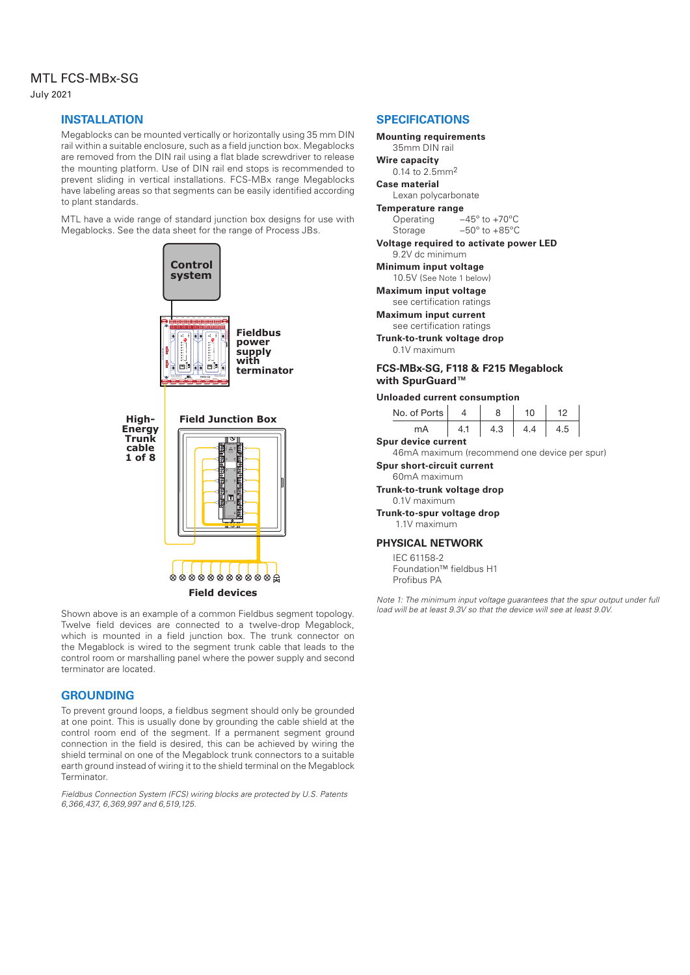### MTL FCS-MBx-SG

July 2021

#### **INSTALLATION**

Megablocks can be mounted vertically or horizontally using 35 mm DIN rail within a suitable enclosure, such as a field junction box. Megablocks are removed from the DIN rail using a flat blade screwdriver to release the mounting platform. Use of DIN rail end stops is recommended to prevent sliding in vertical installations. FCS-MBx range Megablocks have labeling areas so that segments can be easily identified according to plant standards.

MTL have a wide range of standard junction box designs for use with Megablocks. See the data sheet for the range of Process JBs.



Shown above is an example of a common Fieldbus segment topology. Twelve field devices are connected to a twelve-drop Megablock, which is mounted in a field junction box. The trunk connector on the Megablock is wired to the segment trunk cable that leads to the control room or marshalling panel where the power supply and second terminator are located.

#### **GROUNDING**

To prevent ground loops, a fieldbus segment should only be grounded at one point. This is usually done by grounding the cable shield at the control room end of the segment. If a permanent segment ground connection in the field is desired, this can be achieved by wiring the shield terminal on one of the Megablock trunk connectors to a suitable earth ground instead of wiring it to the shield terminal on the Megablock Terminator.

*Fieldbus Connection System (FCS) wiring blocks are protected by U.S. Patents 6,366,437, 6,369,997 and 6,519,125.*

#### **SPECIFICATIONS Mounting requirements** 35mm DIN rail **Wire capacity** 0.14 to 2.5mm2 **Case material** Lexan polycarbonate **Temperature range** Operating –45º to +70ºC Storage –50º to +85ºC **Voltage required to activate power LED** 9.2V dc minimum **Minimum input voltage** 10.5V (See Note 1 below) **Maximum input voltage** see certification ratings **Maximum input current** see certification ratings **Trunk-to-trunk voltage drop** 0.1V maximum

#### **FCS-MBx-SG, F118 & F215 Megablock with SpurGuard™**

#### **Unloaded current consumption**

| No. of Ports        |  |     | 10  | 12  |  |  |  |  |
|---------------------|--|-----|-----|-----|--|--|--|--|
| mA                  |  | 4.3 | 4.4 | 4.5 |  |  |  |  |
| Spur device current |  |     |     |     |  |  |  |  |

46mA maximum (recommend one device per spur)

#### **Spur short-circuit current**

60mA maximum

**Trunk-to-trunk voltage drop**

#### 0.1V maximum **Trunk-to-spur voltage drop**

1.1V maximum

#### **PHYSICAL NETWORK**

IEC 61158-2 Foundation™ fieldbus H1 Profibus PA

*Note 1: The minimum input voltage guarantees that the spur output under full load will be at least 9.3V so that the device will see at least 9.0V.*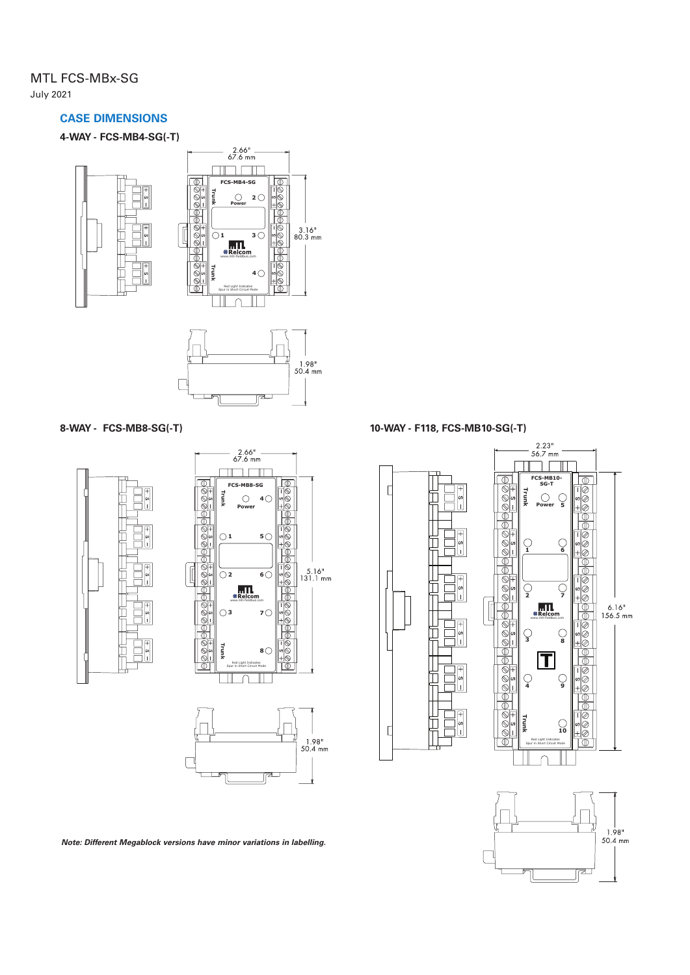#### MTL FCS-MBx-SG July 2021

#### **CASE DIMENSIONS**

**4-WAY - FCS-MB4-SG(-T)**



**8-WAY - FCS-MB8-SG(-T)**



**10-WAY - F118, FCS-MB10-SG(-T)**





*Note: Different Megablock versions have minor variations in labelling.*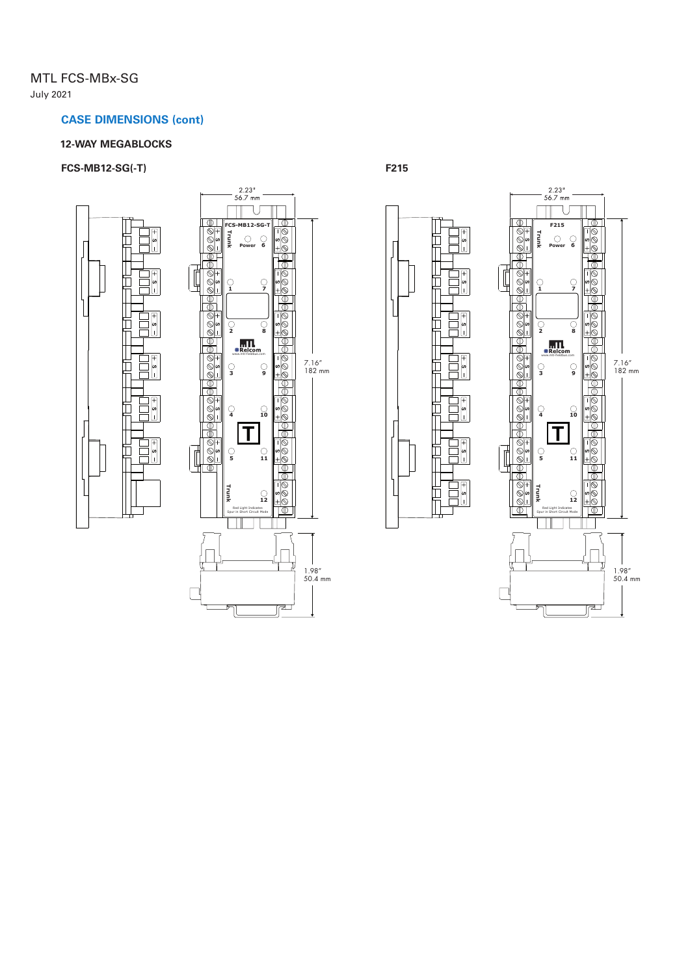#### MTL FCS-MBx-SG July 2021

#### **CASE DIMENSIONS (cont)**

#### **12-WAY MEGABLOCKS**